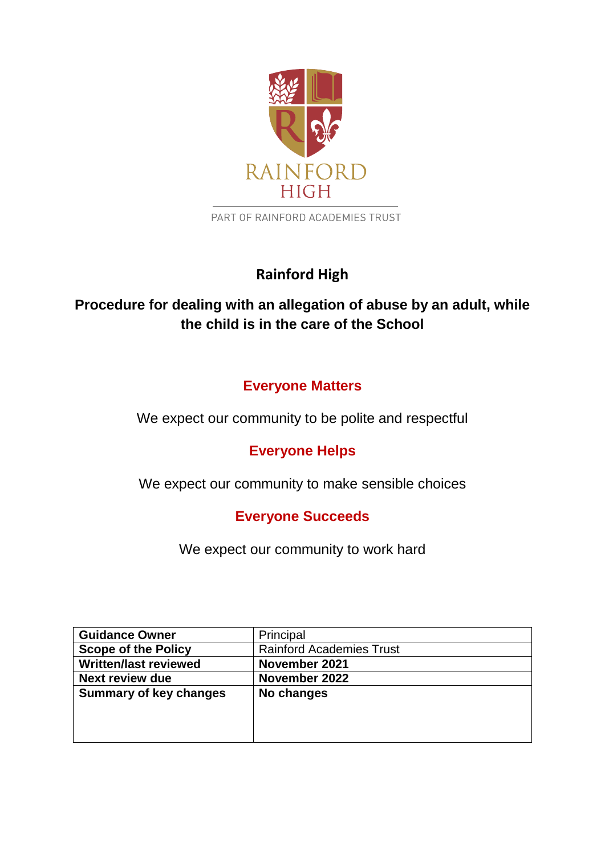

PART OF RAINFORD ACADEMIES TRUST

# **Rainford High**

# **Procedure for dealing with an allegation of abuse by an adult, while the child is in the care of the School**

# **Everyone Matters**

We expect our community to be polite and respectful

# **Everyone Helps**

We expect our community to make sensible choices

# **Everyone Succeeds**

We expect our community to work hard

| <b>Guidance Owner</b>         | Principal                       |
|-------------------------------|---------------------------------|
| <b>Scope of the Policy</b>    | <b>Rainford Academies Trust</b> |
| <b>Written/last reviewed</b>  | November 2021                   |
| <b>Next review due</b>        | November 2022                   |
| <b>Summary of key changes</b> | No changes                      |
|                               |                                 |
|                               |                                 |
|                               |                                 |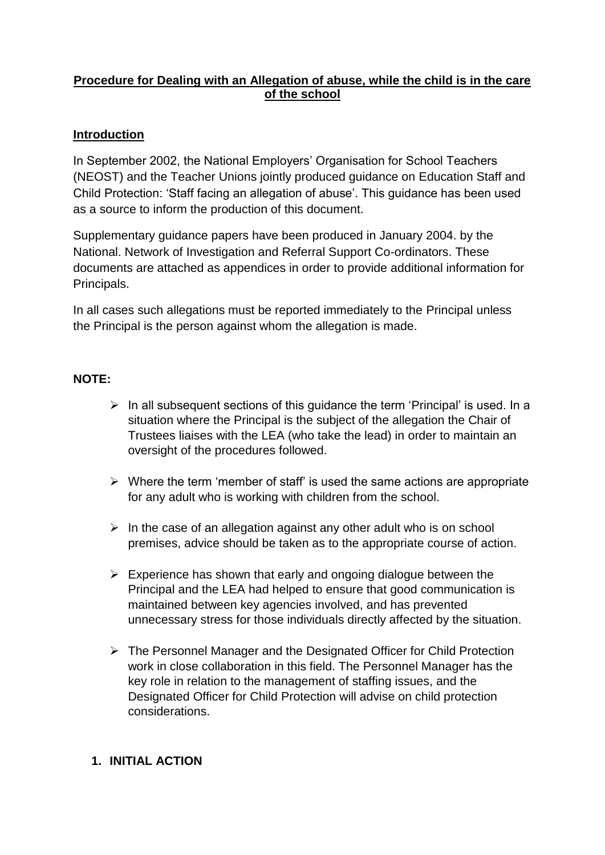### **Procedure for Dealing with an Allegation of abuse, while the child is in the care of the school**

#### **Introduction**

In September 2002, the National Employers' Organisation for School Teachers (NEOST) and the Teacher Unions jointly produced guidance on Education Staff and Child Protection: 'Staff facing an allegation of abuse'. This guidance has been used as a source to inform the production of this document.

Supplementary guidance papers have been produced in January 2004. by the National. Network of Investigation and Referral Support Co-ordinators. These documents are attached as appendices in order to provide additional information for Principals.

In all cases such allegations must be reported immediately to the Principal unless the Principal is the person against whom the allegation is made.

#### **NOTE:**

- $\triangleright$  In all subsequent sections of this guidance the term 'Principal' is used. In a situation where the Principal is the subject of the allegation the Chair of Trustees liaises with the LEA (who take the lead) in order to maintain an oversight of the procedures followed.
- $\triangleright$  Where the term 'member of staff' is used the same actions are appropriate for any adult who is working with children from the school.
- $\triangleright$  In the case of an allegation against any other adult who is on school premises, advice should be taken as to the appropriate course of action.
- $\triangleright$  Experience has shown that early and ongoing dialogue between the Principal and the LEA had helped to ensure that good communication is maintained between key agencies involved, and has prevented unnecessary stress for those individuals directly affected by the situation.
- ➢ The Personnel Manager and the Designated Officer for Child Protection work in close collaboration in this field. The Personnel Manager has the key role in relation to the management of staffing issues, and the Designated Officer for Child Protection will advise on child protection considerations.

#### **1. INITIAL ACTION**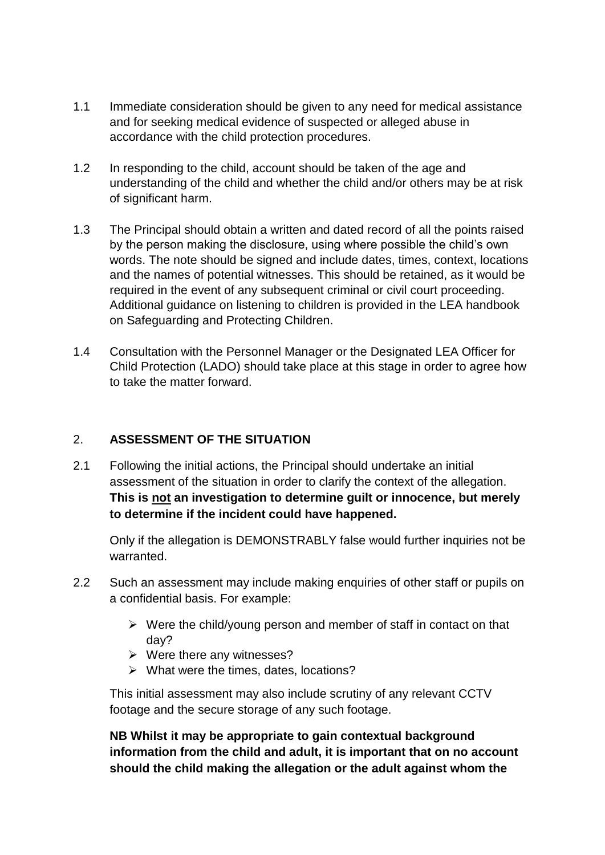- 1.1 Immediate consideration should be given to any need for medical assistance and for seeking medical evidence of suspected or alleged abuse in accordance with the child protection procedures.
- 1.2 In responding to the child, account should be taken of the age and understanding of the child and whether the child and/or others may be at risk of significant harm.
- 1.3 The Principal should obtain a written and dated record of all the points raised by the person making the disclosure, using where possible the child's own words. The note should be signed and include dates, times, context, locations and the names of potential witnesses. This should be retained, as it would be required in the event of any subsequent criminal or civil court proceeding. Additional guidance on listening to children is provided in the LEA handbook on Safeguarding and Protecting Children.
- 1.4 Consultation with the Personnel Manager or the Designated LEA Officer for Child Protection (LADO) should take place at this stage in order to agree how to take the matter forward.

## 2. **ASSESSMENT OF THE SITUATION**

2.1 Following the initial actions, the Principal should undertake an initial assessment of the situation in order to clarify the context of the allegation. **This is not an investigation to determine guilt or innocence, but merely to determine if the incident could have happened.**

Only if the allegation is DEMONSTRABLY false would further inquiries not be warranted.

- 2.2 Such an assessment may include making enquiries of other staff or pupils on a confidential basis. For example:
	- $\triangleright$  Were the child/young person and member of staff in contact on that day?
	- ➢ Were there any witnesses?
	- ➢ What were the times, dates, locations?

This initial assessment may also include scrutiny of any relevant CCTV footage and the secure storage of any such footage.

**NB Whilst it may be appropriate to gain contextual background information from the child and adult, it is important that on no account should the child making the allegation or the adult against whom the**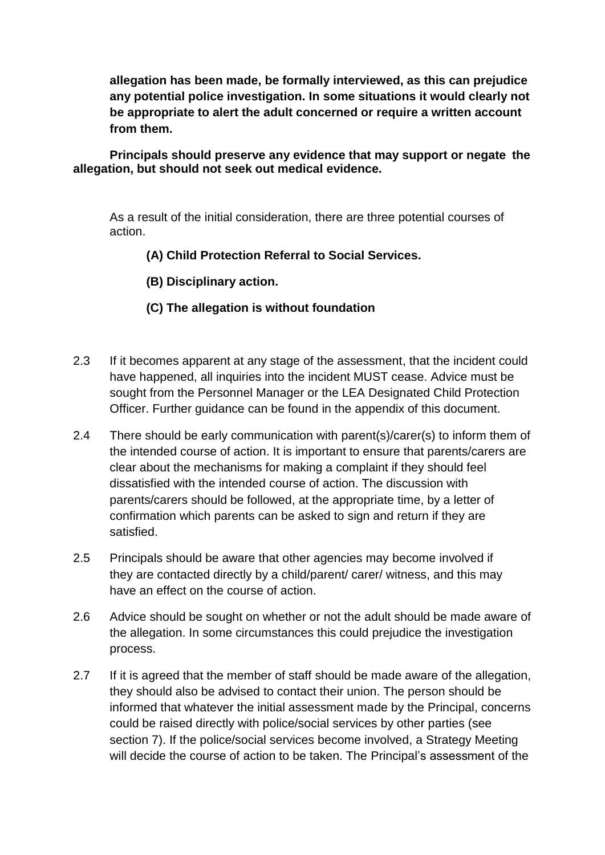**allegation has been made, be formally interviewed, as this can prejudice any potential police investigation. In some situations it would clearly not be appropriate to alert the adult concerned or require a written account from them.**

**Principals should preserve any evidence that may support or negate the allegation, but should not seek out medical evidence.**

As a result of the initial consideration, there are three potential courses of action.

**(A) Child Protection Referral to Social Services.**

**(B) Disciplinary action.**

### **(C) The allegation is without foundation**

- 2.3 If it becomes apparent at any stage of the assessment, that the incident could have happened, all inquiries into the incident MUST cease. Advice must be sought from the Personnel Manager or the LEA Designated Child Protection Officer. Further guidance can be found in the appendix of this document.
- 2.4 There should be early communication with parent(s)/carer(s) to inform them of the intended course of action. It is important to ensure that parents/carers are clear about the mechanisms for making a complaint if they should feel dissatisfied with the intended course of action. The discussion with parents/carers should be followed, at the appropriate time, by a letter of confirmation which parents can be asked to sign and return if they are satisfied.
- 2.5 Principals should be aware that other agencies may become involved if they are contacted directly by a child/parent/ carer/ witness, and this may have an effect on the course of action.
- 2.6 Advice should be sought on whether or not the adult should be made aware of the allegation. In some circumstances this could prejudice the investigation process.
- 2.7 If it is agreed that the member of staff should be made aware of the allegation, they should also be advised to contact their union. The person should be informed that whatever the initial assessment made by the Principal, concerns could be raised directly with police/social services by other parties (see section 7). If the police/social services become involved, a Strategy Meeting will decide the course of action to be taken. The Principal's assessment of the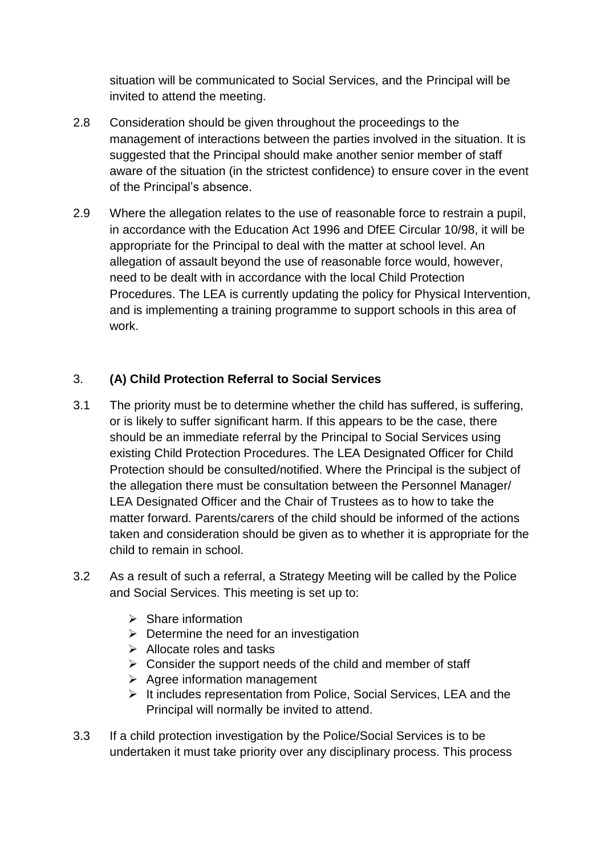situation will be communicated to Social Services, and the Principal will be invited to attend the meeting.

- 2.8 Consideration should be given throughout the proceedings to the management of interactions between the parties involved in the situation. It is suggested that the Principal should make another senior member of staff aware of the situation (in the strictest confidence) to ensure cover in the event of the Principal's absence.
- 2.9 Where the allegation relates to the use of reasonable force to restrain a pupil, in accordance with the Education Act 1996 and DfEE Circular 10/98, it will be appropriate for the Principal to deal with the matter at school level. An allegation of assault beyond the use of reasonable force would, however, need to be dealt with in accordance with the local Child Protection Procedures. The LEA is currently updating the policy for Physical Intervention, and is implementing a training programme to support schools in this area of work.

### 3. **(A) Child Protection Referral to Social Services**

- 3.1 The priority must be to determine whether the child has suffered, is suffering, or is likely to suffer significant harm. If this appears to be the case, there should be an immediate referral by the Principal to Social Services using existing Child Protection Procedures. The LEA Designated Officer for Child Protection should be consulted/notified. Where the Principal is the subject of the allegation there must be consultation between the Personnel Manager/ LEA Designated Officer and the Chair of Trustees as to how to take the matter forward. Parents/carers of the child should be informed of the actions taken and consideration should be given as to whether it is appropriate for the child to remain in school.
- 3.2 As a result of such a referral, a Strategy Meeting will be called by the Police and Social Services. This meeting is set up to:
	- ➢ Share information
	- $\triangleright$  Determine the need for an investigation
	- ➢ Allocate roles and tasks
	- $\triangleright$  Consider the support needs of the child and member of staff
	- ➢ Agree information management
	- ➢ It includes representation from Police, Social Services, LEA and the Principal will normally be invited to attend.
- 3.3 If a child protection investigation by the Police/Social Services is to be undertaken it must take priority over any disciplinary process. This process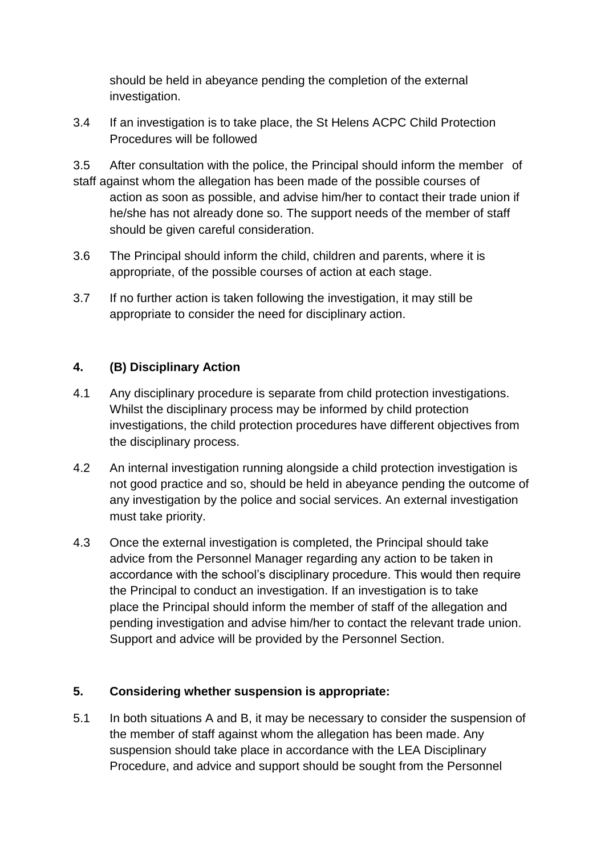should be held in abeyance pending the completion of the external investigation.

3.4 If an investigation is to take place, the St Helens ACPC Child Protection Procedures will be followed

3.5 After consultation with the police, the Principal should inform the member of staff against whom the allegation has been made of the possible courses of action as soon as possible, and advise him/her to contact their trade union if he/she has not already done so. The support needs of the member of staff should be given careful consideration.

- 3.6 The Principal should inform the child, children and parents, where it is appropriate, of the possible courses of action at each stage.
- 3.7 If no further action is taken following the investigation, it may still be appropriate to consider the need for disciplinary action.

## **4. (B) Disciplinary Action**

- 4.1 Any disciplinary procedure is separate from child protection investigations. Whilst the disciplinary process may be informed by child protection investigations, the child protection procedures have different objectives from the disciplinary process.
- 4.2 An internal investigation running alongside a child protection investigation is not good practice and so, should be held in abeyance pending the outcome of any investigation by the police and social services. An external investigation must take priority.
- 4.3 Once the external investigation is completed, the Principal should take advice from the Personnel Manager regarding any action to be taken in accordance with the school's disciplinary procedure. This would then require the Principal to conduct an investigation. If an investigation is to take place the Principal should inform the member of staff of the allegation and pending investigation and advise him/her to contact the relevant trade union. Support and advice will be provided by the Personnel Section.

#### **5. Considering whether suspension is appropriate:**

5.1 In both situations A and B, it may be necessary to consider the suspension of the member of staff against whom the allegation has been made. Any suspension should take place in accordance with the LEA Disciplinary Procedure, and advice and support should be sought from the Personnel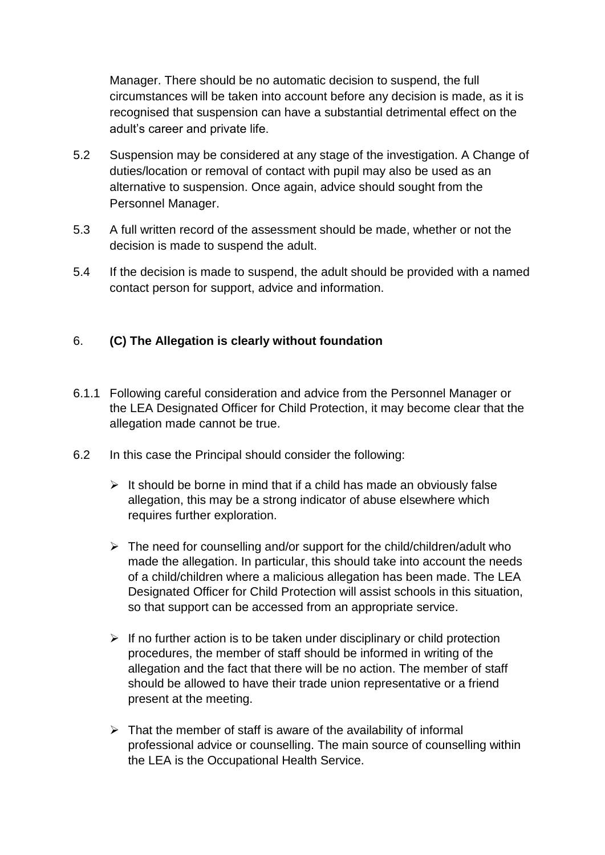Manager. There should be no automatic decision to suspend, the full circumstances will be taken into account before any decision is made, as it is recognised that suspension can have a substantial detrimental effect on the adult's career and private life.

- 5.2 Suspension may be considered at any stage of the investigation. A Change of duties/location or removal of contact with pupil may also be used as an alternative to suspension. Once again, advice should sought from the Personnel Manager.
- 5.3 A full written record of the assessment should be made, whether or not the decision is made to suspend the adult.
- 5.4 If the decision is made to suspend, the adult should be provided with a named contact person for support, advice and information.

#### 6. **(C) The Allegation is clearly without foundation**

- 6.1.1 Following careful consideration and advice from the Personnel Manager or the LEA Designated Officer for Child Protection, it may become clear that the allegation made cannot be true.
- 6.2 In this case the Principal should consider the following:
	- $\triangleright$  It should be borne in mind that if a child has made an obviously false allegation, this may be a strong indicator of abuse elsewhere which requires further exploration.
	- $\triangleright$  The need for counselling and/or support for the child/children/adult who made the allegation. In particular, this should take into account the needs of a child/children where a malicious allegation has been made. The LEA Designated Officer for Child Protection will assist schools in this situation, so that support can be accessed from an appropriate service.
	- $\triangleright$  If no further action is to be taken under disciplinary or child protection procedures, the member of staff should be informed in writing of the allegation and the fact that there will be no action. The member of staff should be allowed to have their trade union representative or a friend present at the meeting.
	- $\triangleright$  That the member of staff is aware of the availability of informal professional advice or counselling. The main source of counselling within the LEA is the Occupational Health Service.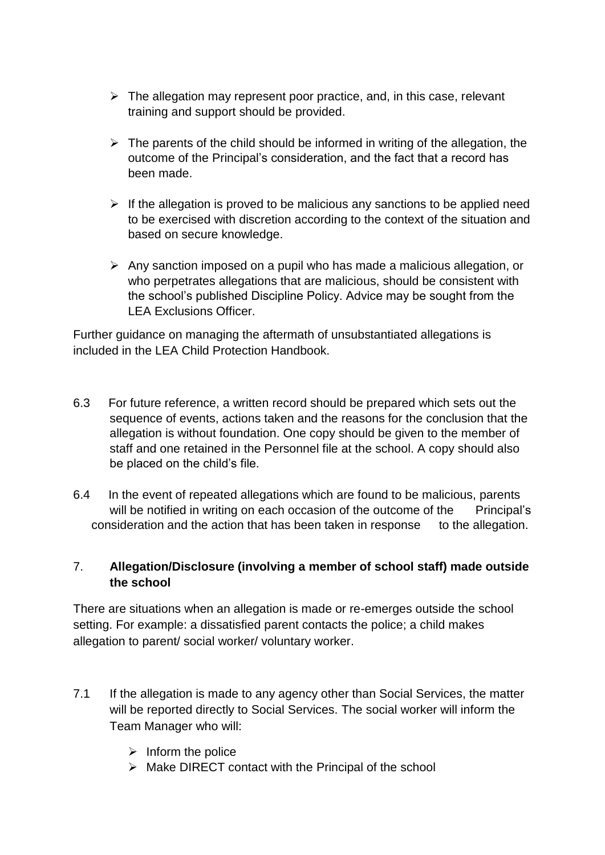- $\triangleright$  The allegation may represent poor practice, and, in this case, relevant training and support should be provided.
- $\triangleright$  The parents of the child should be informed in writing of the allegation, the outcome of the Principal's consideration, and the fact that a record has been made.
- $\triangleright$  If the allegation is proved to be malicious any sanctions to be applied need to be exercised with discretion according to the context of the situation and based on secure knowledge.
- ➢ Any sanction imposed on a pupil who has made a malicious allegation, or who perpetrates allegations that are malicious, should be consistent with the school's published Discipline Policy. Advice may be sought from the LEA Exclusions Officer.

Further guidance on managing the aftermath of unsubstantiated allegations is included in the LEA Child Protection Handbook.

- 6.3 For future reference, a written record should be prepared which sets out the sequence of events, actions taken and the reasons for the conclusion that the allegation is without foundation. One copy should be given to the member of staff and one retained in the Personnel file at the school. A copy should also be placed on the child's file.
- 6.4 In the event of repeated allegations which are found to be malicious, parents will be notified in writing on each occasion of the outcome of the Principal's consideration and the action that has been taken in response to the allegation.

### 7. **Allegation/Disclosure (involving a member of school staff) made outside the school**

There are situations when an allegation is made or re-emerges outside the school setting. For example: a dissatisfied parent contacts the police; a child makes allegation to parent/ social worker/ voluntary worker.

- 7.1 If the allegation is made to any agency other than Social Services, the matter will be reported directly to Social Services. The social worker will inform the Team Manager who will:
	- $\triangleright$  Inform the police
	- ➢ Make DIRECT contact with the Principal of the school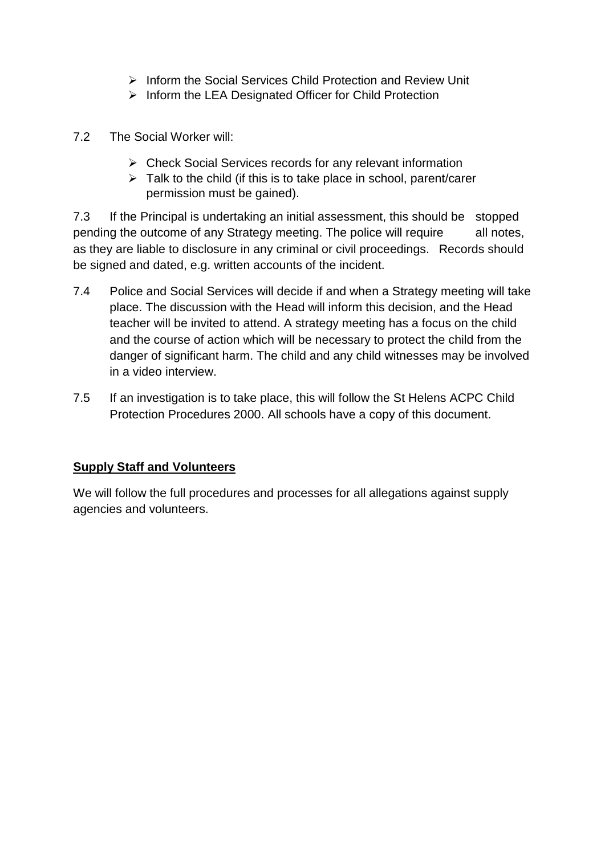- ➢ Inform the Social Services Child Protection and Review Unit
- ➢ Inform the LEA Designated Officer for Child Protection
- 7.2 The Social Worker will:
	- ➢ Check Social Services records for any relevant information
	- ➢ Talk to the child (if this is to take place in school, parent/carer permission must be gained).

7.3 If the Principal is undertaking an initial assessment, this should be stopped pending the outcome of any Strategy meeting. The police will require all notes, as they are liable to disclosure in any criminal or civil proceedings. Records should be signed and dated, e.g. written accounts of the incident.

- 7.4 Police and Social Services will decide if and when a Strategy meeting will take place. The discussion with the Head will inform this decision, and the Head teacher will be invited to attend. A strategy meeting has a focus on the child and the course of action which will be necessary to protect the child from the danger of significant harm. The child and any child witnesses may be involved in a video interview.
- 7.5 If an investigation is to take place, this will follow the St Helens ACPC Child Protection Procedures 2000. All schools have a copy of this document.

## **Supply Staff and Volunteers**

We will follow the full procedures and processes for all allegations against supply agencies and volunteers.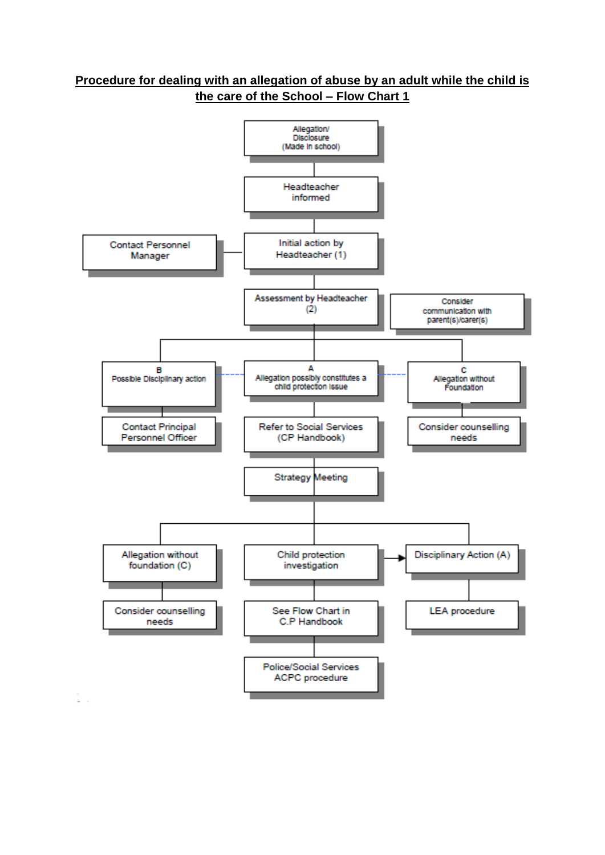

£.

#### **Procedure for dealing with an allegation of abuse by an adult while the child is the care of the School – Flow Chart 1**